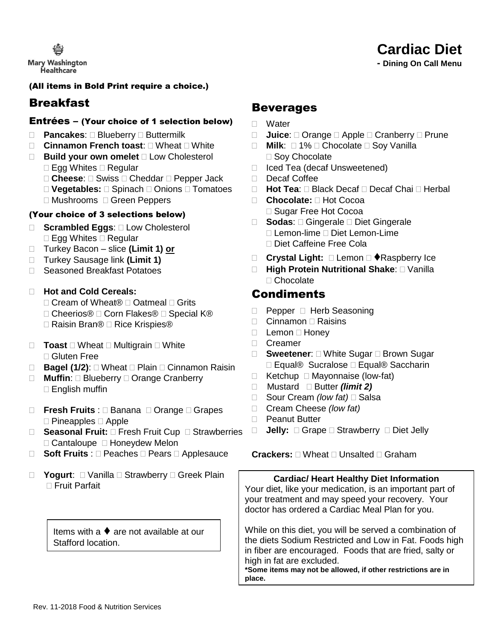

 **- Dining On Call Menu**

# (All items in Bold Print require a choice.)

# Breakfast

# Entrées – (Your choice of 1 selection below)

- □ Pancakes: □ Blueberry □ Buttermilk
- □ Cinnamon French toast: □ Wheat □ White
- □ **Build your own omelet** □ Low Cholesterol  $\Box$  Egg Whites  $\Box$  Regular
	- □ Cheese: □ Swiss □ Cheddar □ Pepper Jack
	- □ Vegetables: □ Spinach □ Onions □ Tomatoes
	- □ Mushrooms □ Green Peppers

# (Your choice of 3 selections below)

- □ **Scrambled Eggs**: □ Low Cholesterol  $\Box$  Egg Whites  $\Box$  Regular
- Turkey Bacon slice **(Limit 1) or**
- □ Turkey Sausage link (Limit 1)
- □ Seasoned Breakfast Potatoes
- **Hot and Cold Cereals:**
	- $\Box$  Cream of Wheat®  $\Box$  Oatmeal  $\Box$  Grits
	- □ Cheerios® □ Corn Flakes® □ Special K®
	- **□ Raisin Bran® □ Rice Krispies®**
- $\Box$  **Toast**  $\Box$  Wheat  $\Box$  Multigrain  $\Box$  White Gluten Free
- □ **Bagel (1/2)**: □ Wheat □ Plain □ Cinnamon Raisin
- □ **Muffin**: □ Blueberry □ Orange Cranberry  $\square$  English muffin
- □ **Fresh Fruits** : □ Banana □ Orange □ Grapes  $\Box$  Pineapples  $\Box$  Apple
- □ Seasonal Fruit: □ Fresh Fruit Cup □ Strawberries  $\Box$  Cantaloupe  $\Box$  Honeydew Melon
- □ **Soft Fruits** : □ Peaches □ Pears □ Applesauce
- □ **Yogurt**: □ Vanilla □ Strawberry □ Greek Plain Fruit Parfait

Items with a  $\blacklozenge$  are not available at our Stafford location.

# **Beverages**

- □ Water
- □ **Juice**: □ Orange □ Apple □ Cranberry □ Prune
- $\Box$  **Milk**:  $\Box$  1%  $\Box$  Chocolate  $\Box$  Soy Vanilla □ Soy Chocolate
- □ Iced Tea (decaf Unsweetened)
- □ Decaf Coffee
- **Hot Tea**: Black Decaf Decaf Chai Herbal
- **Chocolate:** Hot Cocoa □ Sugar Free Hot Cocoa
- □ **Sodas**: □ Gingerale □ Diet Gingerale  $\Box$  Lemon-lime  $\Box$  Diet Lemon-Lime Diet Caffeine Free Cola
- □ Crystal Light: □ Lemon □ ◆Raspberry Ice
- □ High Protein Nutritional Shake: □ Vanilla □ Chocolate

# Condiments

- $\Box$  Pepper  $\Box$  Herb Seasoning
- $\Box$  Cinnamon  $\Box$  Raisins
- $\Box$  Lemon  $\Box$  Honev
- □ Creamer
- □ **Sweetener**: □ White Sugar □ Brown Sugar □ Equal® Sucralose □ Equal® Saccharin
- $\Box$  Ketchup  $\Box$  Mayonnaise (low-fat)
- Mustard Butter *(limit 2)*
- □ Sour Cream *(low fat)* □ Salsa
- Cream Cheese *(low fat)*
- □ Peanut Butter
- □ **Jelly:** □ Grape □ Strawberry □ Diet Jelly

**Crackers:** □ Wheat □ Unsalted □ Graham

**Cardiac/ Heart Healthy Diet Information** Your diet, like your medication, is an important part of your treatment and may speed your recovery. Your doctor has ordered a Cardiac Meal Plan for you.

While on this diet, you will be served a combination of the diets Sodium Restricted and Low in Fat. Foods high in fiber are encouraged. Foods that are fried, salty or high in fat are excluded.

**\*Some items may not be allowed, if other restrictions are in place.**